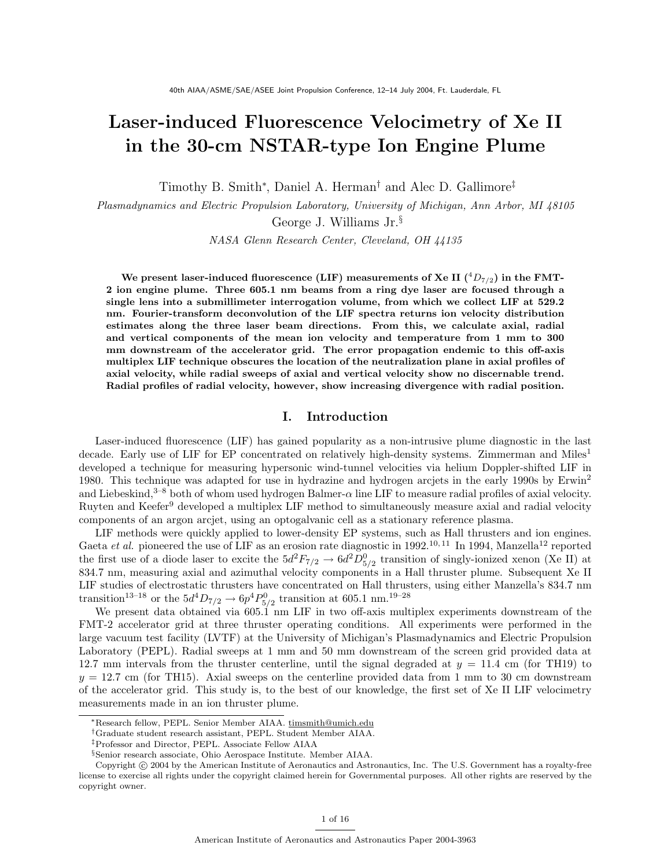# Laser-induced Fluorescence Velocimetry of Xe II in the 30-cm NSTAR-type Ion Engine Plume

Timothy B. Smith<sup>∗</sup> , Daniel A. Herman† and Alec D. Gallimore‡

Plasmadynamics and Electric Propulsion Laboratory, University of Michigan, Ann Arbor, MI 48105

George J. Williams Jr.§

NASA Glenn Research Center, Cleveland, OH 44135

We present laser-induced fluorescence (LIF) measurements of Xe II  $({}^{4}D_{7/2})$  in the FMT-2 ion engine plume. Three 605.1 nm beams from a ring dye laser are focused through a single lens into a submillimeter interrogation volume, from which we collect LIF at 529.2 nm. Fourier-transform deconvolution of the LIF spectra returns ion velocity distribution estimates along the three laser beam directions. From this, we calculate axial, radial and vertical components of the mean ion velocity and temperature from 1 mm to 300 mm downstream of the accelerator grid. The error propagation endemic to this off-axis multiplex LIF technique obscures the location of the neutralization plane in axial profiles of axial velocity, while radial sweeps of axial and vertical velocity show no discernable trend. Radial profiles of radial velocity, however, show increasing divergence with radial position.

# I. Introduction

Laser-induced fluorescence (LIF) has gained popularity as a non-intrusive plume diagnostic in the last decade. Early use of LIF for EP concentrated on relatively high-density systems. Zimmerman and Miles<sup>1</sup> developed a technique for measuring hypersonic wind-tunnel velocities via helium Doppler-shifted LIF in 1980. This technique was adapted for use in hydrazine and hydrogen arcjets in the early 1990s by Erwin<sup>2</sup> and Liebeskind,<sup>3–8</sup> both of whom used hydrogen Balmer- $\alpha$  line LIF to measure radial profiles of axial velocity. Ruyten and Keefer<sup>9</sup> developed a multiplex LIF method to simultaneously measure axial and radial velocity components of an argon arcjet, using an optogalvanic cell as a stationary reference plasma.

LIF methods were quickly applied to lower-density EP systems, such as Hall thrusters and ion engines. Gaeta et al. pioneered the use of LIF as an erosion rate diagnostic in 1992.10, 11 In 1994, Manzella<sup>12</sup> reported the first use of a diode laser to excite the  $5d^2F_{7/2} \to 6d^2D_{5/2}^0$  transition of singly-ionized xenon (Xe II) at 834.7 nm, measuring axial and azimuthal velocity components in a Hall thruster plume. Subsequent Xe II LIF studies of electrostatic thrusters have concentrated on Hall thrusters, using either Manzella's 834.7 nm transition<sup>13-18</sup> or the  $5d^4D_{7/2} \rightarrow 6p^4P_{5/2}^0$  transition at 605.1 nm.<sup>19-28</sup>

We present data obtained via 605.1 nm LIF in two off-axis multiplex experiments downstream of the FMT-2 accelerator grid at three thruster operating conditions. All experiments were performed in the large vacuum test facility (LVTF) at the University of Michigan's Plasmadynamics and Electric Propulsion Laboratory (PEPL). Radial sweeps at 1 mm and 50 mm downstream of the screen grid provided data at 12.7 mm intervals from the thruster centerline, until the signal degraded at  $y = 11.4$  cm (for TH19) to  $y = 12.7$  cm (for TH15). Axial sweeps on the centerline provided data from 1 mm to 30 cm downstream of the accelerator grid. This study is, to the best of our knowledge, the first set of Xe II LIF velocimetry measurements made in an ion thruster plume.

<sup>∗</sup>Research fellow, PEPL. Senior Member AIAA. timsmith@umich.edu

<sup>†</sup>Graduate student research assistant, PEPL. Student Member AIAA.

<sup>‡</sup>Professor and Director, PEPL. Associate Fellow AIAA

<sup>§</sup>Senior research associate, Ohio Aerospace Institute. Member AIAA.

Copyright © 2004 by the American Institute of Aeronautics and Astronautics, Inc. The U.S. Government has a royalty-free license to exercise all rights under the copyright claimed herein for Governmental purposes. All other rights are reserved by the copyright owner.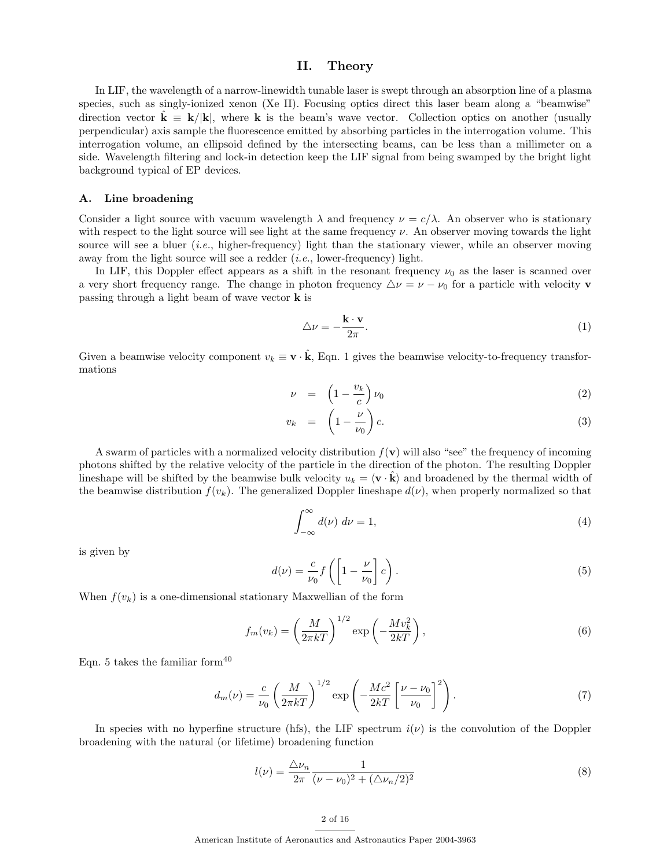# II. Theory

In LIF, the wavelength of a narrow-linewidth tunable laser is swept through an absorption line of a plasma species, such as singly-ionized xenon (Xe II). Focusing optics direct this laser beam along a "beamwise" direction vector  $\mathbf{k} \equiv \mathbf{k}/|\mathbf{k}|$ , where k is the beam's wave vector. Collection optics on another (usually perpendicular) axis sample the fluorescence emitted by absorbing particles in the interrogation volume. This interrogation volume, an ellipsoid defined by the intersecting beams, can be less than a millimeter on a side. Wavelength filtering and lock-in detection keep the LIF signal from being swamped by the bright light background typical of EP devices.

## A. Line broadening

Consider a light source with vacuum wavelength  $\lambda$  and frequency  $\nu = c/\lambda$ . An observer who is stationary with respect to the light source will see light at the same frequency  $\nu$ . An observer moving towards the light source will see a bluer  $(i.e.,$  higher-frequency) light than the stationary viewer, while an observer moving away from the light source will see a redder  $(i.e.,$  lower-frequency) light.

In LIF, this Doppler effect appears as a shift in the resonant frequency  $\nu_0$  as the laser is scanned over a very short frequency range. The change in photon frequency  $\Delta \nu = \nu - \nu_0$  for a particle with velocity **v** passing through a light beam of wave vector k is

$$
\triangle \nu = -\frac{\mathbf{k} \cdot \mathbf{v}}{2\pi}.
$$
 (1)

Given a beamwise velocity component  $v_k \equiv \mathbf{v} \cdot \hat{\mathbf{k}}$ , Eqn. 1 gives the beamwise velocity-to-frequency transformations

$$
\nu = \left(1 - \frac{v_k}{c}\right)\nu_0 \tag{2}
$$

$$
v_k = \left(1 - \frac{\nu}{\nu_0}\right)c. \tag{3}
$$

A swarm of particles with a normalized velocity distribution  $f(\mathbf{v})$  will also "see" the frequency of incoming photons shifted by the relative velocity of the particle in the direction of the photon. The resulting Doppler lineshape will be shifted by the beamwise bulk velocity  $u_k = \langle \mathbf{v} \cdot \mathbf{k} \rangle$  and broadened by the thermal width of the beamwise distribution  $f(v_k)$ . The generalized Doppler lineshape  $d(\nu)$ , when properly normalized so that

$$
\int_{-\infty}^{\infty} d(\nu) \, d\nu = 1,\tag{4}
$$

is given by

$$
d(\nu) = \frac{c}{\nu_0} f\left(\left[1 - \frac{\nu}{\nu_0}\right] c\right). \tag{5}
$$

When  $f(v_k)$  is a one-dimensional stationary Maxwellian of the form

$$
f_m(v_k) = \left(\frac{M}{2\pi kT}\right)^{1/2} \exp\left(-\frac{Mv_k^2}{2kT}\right),\tag{6}
$$

Eqn. 5 takes the familiar form $40$ 

$$
d_m(\nu) = \frac{c}{\nu_0} \left(\frac{M}{2\pi kT}\right)^{1/2} \exp\left(-\frac{Mc^2}{2kT} \left[\frac{\nu - \nu_0}{\nu_0}\right]^2\right). \tag{7}
$$

In species with no hyperfine structure (hfs), the LIF spectrum  $i(\nu)$  is the convolution of the Doppler broadening with the natural (or lifetime) broadening function

$$
l(\nu) = \frac{\Delta \nu_n}{2\pi} \frac{1}{(\nu - \nu_0)^2 + (\Delta \nu_n/2)^2}
$$
(8)

## 2 of 16

American Institute of Aeronautics and Astronautics Paper 2004-3963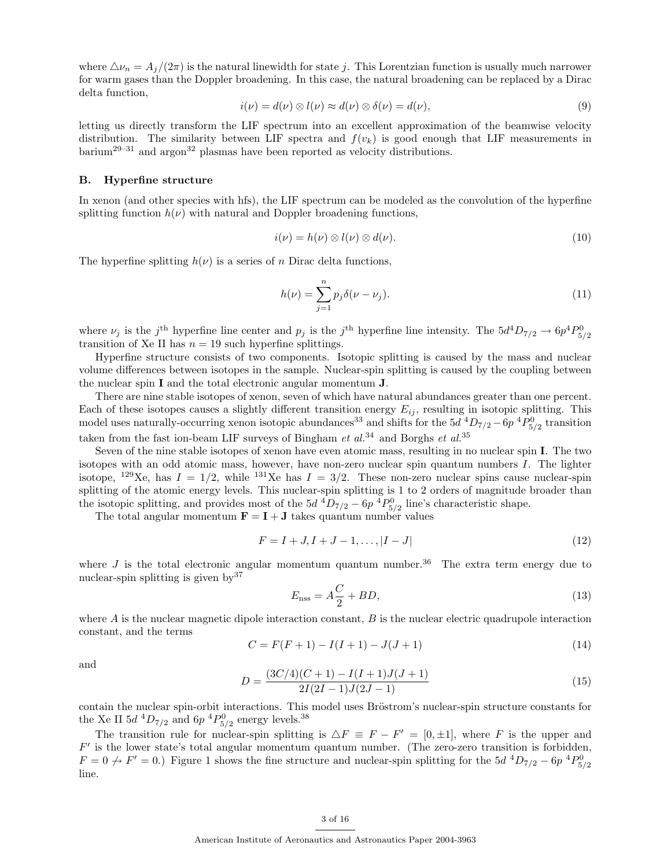where  $\Delta \nu_n = A_j/(2\pi)$  is the natural linewidth for state j. This Lorentzian function is usually much narrower for warm gases than the Doppler broadening. In this case, the natural broadening can be replaced by a Dirac delta function,

$$
i(\nu) = d(\nu) \otimes l(\nu) \approx d(\nu) \otimes \delta(\nu) = d(\nu), \tag{9}
$$

letting us directly transform the LIF spectrum into an excellent approximation of the beamwise velocity distribution. The similarity between LIF spectra and  $f(v_k)$  is good enough that LIF measurements in  $\bar{\text{barium}}^{29-31}$  and argon<sup>32</sup> plasmas have been reported as velocity distributions.

## B. Hyperfine structure

In xenon (and other species with hfs), the LIF spectrum can be modeled as the convolution of the hyperfine splitting function  $h(\nu)$  with natural and Doppler broadening functions,

$$
i(\nu) = h(\nu) \otimes l(\nu) \otimes d(\nu). \tag{10}
$$

The hyperfine splitting  $h(\nu)$  is a series of n Dirac delta functions,

$$
h(\nu) = \sum_{j=1}^{n} p_j \delta(\nu - \nu_j).
$$
 (11)

where  $\nu_j$  is the j<sup>th</sup> hyperfine line center and  $p_j$  is the j<sup>th</sup> hyperfine line intensity. The  $5d^4D_{7/2} \rightarrow 6p^4P_{5/2}^0$ transition of Xe II has  $n = 19$  such hyperfine splittings.

Hyperfine structure consists of two components. Isotopic splitting is caused by the mass and nuclear volume differences between isotopes in the sample. Nuclear-spin splitting is caused by the coupling between the nuclear spin I and the total electronic angular momentum J.

There are nine stable isotopes of xenon, seven of which have natural abundances greater than one percent. Each of these isotopes causes a slightly different transition energy  $E_{ij}$ , resulting in isotopic splitting. This model uses naturally-occurring xenon isotopic abundances<sup>33</sup> and shifts for the  $5d$  <sup>4</sup> $D_{7/2}$  –  $6p$  <sup>4</sup> $P_{5/2}^0$  transition taken from the fast ion-beam LIF surveys of Bingham  $et$   $al.^{34}$  and Borghs  $et$   $al.^{35}$ 

Seven of the nine stable isotopes of xenon have even atomic mass, resulting in no nuclear spin I. The two isotopes with an odd atomic mass, however, have non-zero nuclear spin quantum numbers I. The lighter isotope, <sup>129</sup>Xe, has  $I = 1/2$ , while <sup>131</sup>Xe has  $I = 3/2$ . These non-zero nuclear spins cause nuclear-spin splitting of the atomic energy levels. This nuclear-spin splitting is 1 to 2 orders of magnitude broader than the isotopic splitting, and provides most of the  $5d^{4}D_{7/2} - 6p^{4}P_{5/2}^{0}$  line's characteristic shape.

The total angular momentum  $\mathbf{F} = \mathbf{I} + \mathbf{J}$  takes quantum number values

$$
F = I + J, I + J - 1, \dots, |I - J| \tag{12}
$$

where  $J$  is the total electronic angular momentum quantum number.<sup>36</sup> The extra term energy due to nuclear-spin splitting is given  $bv^{37}$ 

$$
E_{\rm nss} = A\frac{C}{2} + BD,\tag{13}
$$

where  $A$  is the nuclear magnetic dipole interaction constant,  $B$  is the nuclear electric quadrupole interaction constant, and the terms

$$
C = F(F + 1) - I(I + 1) - J(J + 1)
$$
\n(14)

and

$$
D = \frac{(3C/4)(C+1) - I(I+1)J(J+1)}{2I(2I-1)J(2J-1)}
$$
\n(15)

contain the nuclear spin-orbit interactions. This model uses Bröstrom's nuclear-spin structure constants for the Xe II  $5d$   $^{4}D_{7/2}$  and  $6p$   $^{4}P_{5/2}^{0}$  energy levels.<sup>38</sup>

The transition rule for nuclear-spin splitting is  $\Delta F \equiv F - F' = [0, \pm 1]$ , where F is the upper and F ′ is the lower state's total angular momentum quantum number. (The zero-zero transition is forbidden,  $F = 0 \nrightarrow F' = 0.$  Figure 1 shows the fine structure and nuclear-spin splitting for the 5d  ${}^4D_{7/2} - 6p~{}^4P_{5/2}$ line.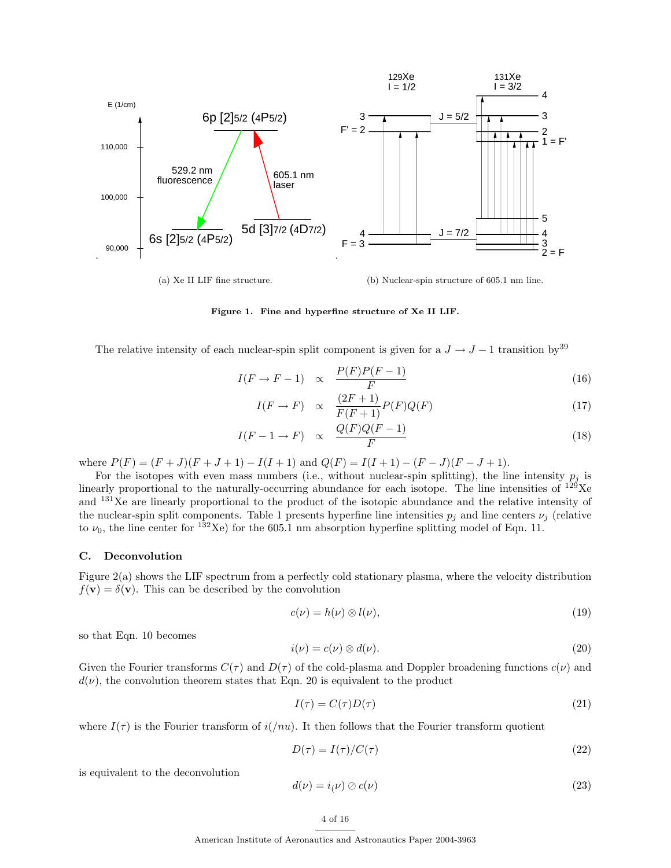

Figure 1. Fine and hyperfine structure of Xe II LIF.

The relative intensity of each nuclear-spin split component is given for a  $J \to J - 1$  transition by<sup>39</sup>

$$
I(F \to F - 1) \propto \frac{P(F)P(F - 1)}{F}
$$
\n(16)

$$
I(F \to F) \quad \propto \quad \frac{(2F+1)}{F(F+1)} P(F) Q(F) \tag{17}
$$

$$
I(F - 1 \to F) \propto \frac{Q(F)Q(F - 1)}{F}
$$
\n(18)

where  $P(F) = (F + J)(F + J + 1) - I(I + 1)$  and  $Q(F) = I(I + 1) - (F - J)(F - J + 1)$ .

For the isotopes with even mass numbers (i.e., without nuclear-spin splitting), the line intensity  $p_i$  is linearly proportional to the naturally-occurring abundance for each isotope. The line intensities of  $^{129}Xe$ and <sup>131</sup>Xe are linearly proportional to the product of the isotopic abundance and the relative intensity of the nuclear-spin split components. Table 1 presents hyperfine line intensities  $p_j$  and line centers  $\nu_j$  (relative to  $\nu_0$ , the line center for <sup>132</sup>Xe) for the 605.1 nm absorption hyperfine splitting model of Eqn. 11.

## C. Deconvolution

Figure 2(a) shows the LIF spectrum from a perfectly cold stationary plasma, where the velocity distribution  $f(\mathbf{v}) = \delta(\mathbf{v})$ . This can be described by the convolution

$$
c(\nu) = h(\nu) \otimes l(\nu),\tag{19}
$$

so that Eqn. 10 becomes

$$
i(\nu) = c(\nu) \otimes d(\nu). \tag{20}
$$

Given the Fourier transforms  $C(\tau)$  and  $D(\tau)$  of the cold-plasma and Doppler broadening functions  $c(\nu)$  and  $d(\nu)$ , the convolution theorem states that Eqn. 20 is equivalent to the product

$$
I(\tau) = C(\tau)D(\tau) \tag{21}
$$

where  $I(\tau)$  is the Fourier transform of  $i(\nu)$ . It then follows that the Fourier transform quotient

$$
D(\tau) = I(\tau) / C(\tau) \tag{22}
$$

is equivalent to the deconvolution

$$
d(\nu) = i(\nu) \oslash c(\nu) \tag{23}
$$

American Institute of Aeronautics and Astronautics Paper 2004-3963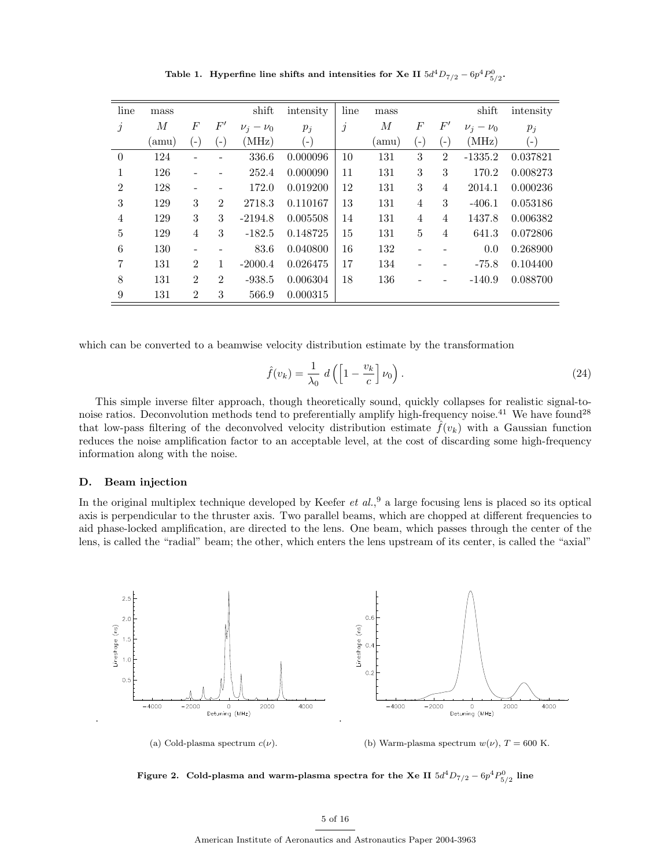| line           | mass |                |                | shift           | intensity | line      | mass |                |                | shift           | intensity |
|----------------|------|----------------|----------------|-----------------|-----------|-----------|------|----------------|----------------|-----------------|-----------|
| $\dot{j}$      | М    | F              | $F^{\prime}$   | $\nu_i - \nu_0$ | $p_i$     | $\dot{j}$ | М    | F              | $F^\prime$     | $\nu_i - \nu_0$ | $p_i$     |
|                | amu) | ۸              | $(-)$          | (MHz)           | $(-)$     |           | amu) | $(-)$          | $\overline{a}$ | (MHz)           | $(-)$     |
| $\theta$       | 124  |                |                | 336.6           | 0.000096  | 10        | 131  | 3              | $\overline{2}$ | $-1335.2$       | 0.037821  |
| 1              | 126  | -              |                | 252.4           | 0.000090  | 11        | 131  | 3              | 3              | 170.2           | 0.008273  |
| $\overline{2}$ | 128  | -              | $\overline{a}$ | 172.0           | 0.019200  | 12        | 131  | 3              | $\overline{4}$ | 2014.1          | 0.000236  |
| 3              | 129  | 3              | $\overline{2}$ | 2718.3          | 0.110167  | 13        | 131  | $\overline{4}$ | 3              | $-406.1$        | 0.053186  |
| $\overline{4}$ | 129  | 3              | 3              | $-2194.8$       | 0.005508  | 14        | 131  | $\overline{4}$ | $\overline{4}$ | 1437.8          | 0.006382  |
| 5              | 129  | $\overline{4}$ | 3              | $-182.5$        | 0.148725  | 15        | 131  | 5              | $\overline{4}$ | 641.3           | 0.072806  |
| 6              | 130  | -              |                | 83.6            | 0.040800  | 16        | 132  |                |                | 0.0             | 0.268900  |
| 7              | 131  | $\overline{2}$ | $\mathbf{1}$   | $-2000.4$       | 0.026475  | 17        | 134  |                |                | $-75.8$         | 0.104400  |
| 8              | 131  | $\overline{2}$ | $\overline{2}$ | $-938.5$        | 0.006304  | 18        | 136  |                |                | $-140.9$        | 0.088700  |
| 9              | 131  | $\overline{2}$ | 3              | 566.9           | 0.000315  |           |      |                |                |                 |           |

Table 1. Hyperfine line shifts and intensities for Xe II  $5d^4D_{7/2} - 6p^4P_{5/2}^0$ .

which can be converted to a beamwise velocity distribution estimate by the transformation

$$
\hat{f}(v_k) = \frac{1}{\lambda_0} d\left(\left[1 - \frac{v_k}{c}\right] \nu_0\right). \tag{24}
$$

This simple inverse filter approach, though theoretically sound, quickly collapses for realistic signal-tonoise ratios. Deconvolution methods tend to preferentially amplify high-frequency noise.<sup>41</sup> We have found<sup>28</sup> that low-pass filtering of the deconvolved velocity distribution estimate  $\hat{f}(v_k)$  with a Gaussian function reduces the noise amplification factor to an acceptable level, at the cost of discarding some high-frequency information along with the noise.

## D. Beam injection

In the original multiplex technique developed by Keefer  $et al.^9$  a large focusing lens is placed so its optical axis is perpendicular to the thruster axis. Two parallel beams, which are chopped at different frequencies to aid phase-locked amplification, are directed to the lens. One beam, which passes through the center of the lens, is called the "radial" beam; the other, which enters the lens upstream of its center, is called the "axial"



Figure 2. Cold-plasma and warm-plasma spectra for the Xe II  $5d^4D_{7/2}$  –  $6p^4P^0_{5/2}$  line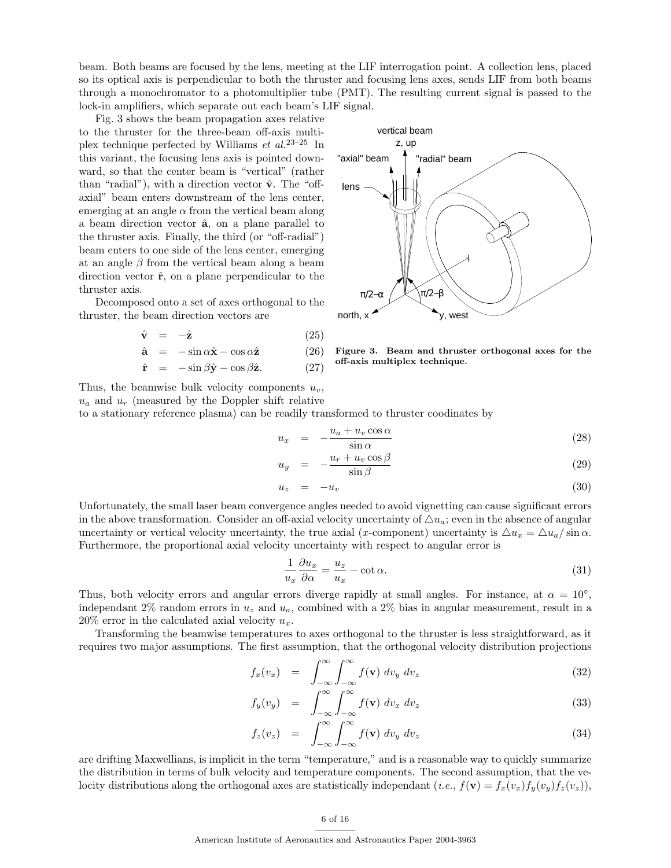beam. Both beams are focused by the lens, meeting at the LIF interrogation point. A collection lens, placed so its optical axis is perpendicular to both the thruster and focusing lens axes, sends LIF from both beams through a monochromator to a photomultiplier tube (PMT). The resulting current signal is passed to the lock-in amplifiers, which separate out each beam's LIF signal.

Fig. 3 shows the beam propagation axes relative to the thruster for the three-beam off-axis multiplex technique perfected by Williams  $et \ al.<sup>23-25</sup> In$ this variant, the focusing lens axis is pointed downward, so that the center beam is "vertical" (rather than "radial"), with a direction vector  $\hat{\mathbf{v}}$ . The "offaxial" beam enters downstream of the lens center, emerging at an angle  $\alpha$  from the vertical beam along a beam direction vector  $\hat{a}$ , on a plane parallel to the thruster axis. Finally, the third (or "off-radial") beam enters to one side of the lens center, emerging at an angle  $\beta$  from the vertical beam along a beam direction vector  $\hat{\mathbf{r}}$ , on a plane perpendicular to the thruster axis.

Decomposed onto a set of axes orthogonal to the thruster, the beam direction vectors are

$$
\hat{\mathbf{v}} = -\hat{\mathbf{z}} \tag{25}
$$

$$
\hat{\mathbf{a}} = -\sin\alpha \hat{\mathbf{x}} - \cos\alpha \hat{\mathbf{z}} \tag{26}
$$

$$
\hat{\mathbf{r}} = -\sin\beta\hat{\mathbf{y}} - \cos\beta\hat{\mathbf{z}}.\tag{27}
$$



Figure 3. Beam and thruster orthogonal axes for the off-axis multiplex technique.

Thus, the beamwise bulk velocity components  $u_v$ ,  $u_a$  and  $u_r$  (measured by the Doppler shift relative

to a stationary reference plasma) can be readily transformed to thruster coodinates by

 $u$ 

$$
u_x = -\frac{u_a + u_v \cos \alpha}{\sin \alpha} \tag{28}
$$

$$
y = -\frac{u_r + u_v \cos \beta}{\sin \beta} \tag{29}
$$

$$
u_z = -u_v \tag{30}
$$

Unfortunately, the small laser beam convergence angles needed to avoid vignetting can cause significant errors in the above transformation. Consider an off-axial velocity uncertainty of  $\Delta u_a$ ; even in the absence of angular uncertainty or vertical velocity uncertainty, the true axial (x-component) uncertainty is  $\Delta u_x = \Delta u_a / \sin \alpha$ . Furthermore, the proportional axial velocity uncertainty with respect to angular error is

$$
\frac{1}{u_x}\frac{\partial u_x}{\partial \alpha} = \frac{u_z}{u_x} - \cot \alpha.
$$
\n(31)

Thus, both velocity errors and angular errors diverge rapidly at small angles. For instance, at  $\alpha = 10^{\circ}$ , independant 2% random errors in  $u_z$  and  $u_a$ , combined with a 2% bias in angular measurement, result in a  $20\%$  error in the calculated axial velocity  $u_x$ .

Transforming the beamwise temperatures to axes orthogonal to the thruster is less straightforward, as it requires two major assumptions. The first assumption, that the orthogonal velocity distribution projections

$$
f_x(v_x) = \int_{-\infty}^{\infty} \int_{-\infty}^{\infty} f(\mathbf{v}) dv_y dv_z \tag{32}
$$

$$
f_y(v_y) = \int_{-\infty}^{\infty} \int_{-\infty}^{\infty} f(\mathbf{v}) dv_x dv_z \tag{33}
$$

$$
f_z(v_z) = \int_{-\infty}^{\infty} \int_{-\infty}^{\infty} f(\mathbf{v}) \, dv_y \, dv_z \tag{34}
$$

are drifting Maxwellians, is implicit in the term "temperature," and is a reasonable way to quickly summarize the distribution in terms of bulk velocity and temperature components. The second assumption, that the velocity distributions along the orthogonal axes are statistically independant (*i.e.*,  $f(\mathbf{v}) = f_x(v_x)f_y(v_y)f_z(v_z)$ ),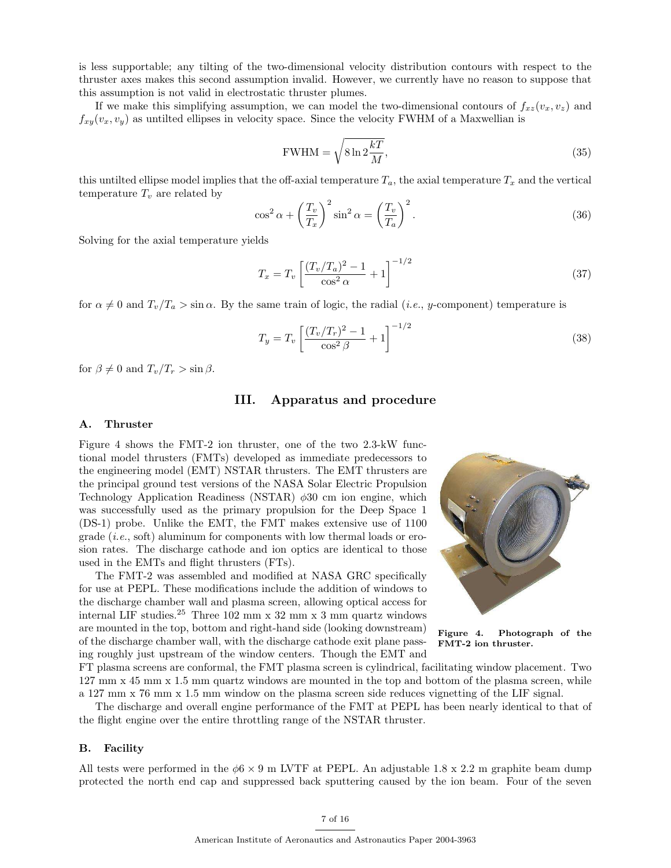is less supportable; any tilting of the two-dimensional velocity distribution contours with respect to the thruster axes makes this second assumption invalid. However, we currently have no reason to suppose that this assumption is not valid in electrostatic thruster plumes.

If we make this simplifying assumption, we can model the two-dimensional contours of  $f_{xz}(v_x, v_z)$  and  $f_{xy}(v_x, v_y)$  as untilted ellipses in velocity space. Since the velocity FWHM of a Maxwellian is

$$
\text{FWHM} = \sqrt{8 \ln 2 \frac{kT}{M}},\tag{35}
$$

this untilted ellipse model implies that the off-axial temperature  $T_a$ , the axial temperature  $T_x$  and the vertical temperature  $T_v$  are related by

$$
\cos^2 \alpha + \left(\frac{T_v}{T_x}\right)^2 \sin^2 \alpha = \left(\frac{T_v}{T_a}\right)^2.
$$
\n(36)

Solving for the axial temperature yields

$$
T_x = T_v \left[ \frac{(T_v/T_a)^2 - 1}{\cos^2 \alpha} + 1 \right]^{-1/2}
$$
\n(37)

for  $\alpha \neq 0$  and  $T_v/T_a > \sin \alpha$ . By the same train of logic, the radial (*i.e.*, *y*-component) temperature is

$$
T_y = T_v \left[ \frac{(T_v/T_r)^2 - 1}{\cos^2 \beta} + 1 \right]^{-1/2}
$$
\n(38)

for  $\beta \neq 0$  and  $T_v/T_r > \sin \beta$ .

# III. Apparatus and procedure

### A. Thruster

Figure 4 shows the FMT-2 ion thruster, one of the two 2.3-kW functional model thrusters (FMTs) developed as immediate predecessors to the engineering model (EMT) NSTAR thrusters. The EMT thrusters are the principal ground test versions of the NASA Solar Electric Propulsion Technology Application Readiness (NSTAR)  $\phi$ 30 cm ion engine, which was successfully used as the primary propulsion for the Deep Space 1 (DS-1) probe. Unlike the EMT, the FMT makes extensive use of 1100 grade  $(i.e.,$  soft) aluminum for components with low thermal loads or erosion rates. The discharge cathode and ion optics are identical to those used in the EMTs and flight thrusters (FTs).

The FMT-2 was assembled and modified at NASA GRC specifically for use at PEPL. These modifications include the addition of windows to the discharge chamber wall and plasma screen, allowing optical access for internal LIF studies.<sup>25</sup> Three 102 mm x 32 mm x 3 mm quartz windows are mounted in the top, bottom and right-hand side (looking downstream) of the discharge chamber wall, with the discharge cathode exit plane passing roughly just upstream of the window centers. Though the EMT and



Figure 4. Photograph of the FMT-2 ion thruster.

FT plasma screens are conformal, the FMT plasma screen is cylindrical, facilitating window placement. Two 127 mm x 45 mm x 1.5 mm quartz windows are mounted in the top and bottom of the plasma screen, while a 127 mm x 76 mm x 1.5 mm window on the plasma screen side reduces vignetting of the LIF signal.

The discharge and overall engine performance of the FMT at PEPL has been nearly identical to that of the flight engine over the entire throttling range of the NSTAR thruster.

#### B. Facility

All tests were performed in the  $\phi$ 6 × 9 m LVTF at PEPL. An adjustable 1.8 x 2.2 m graphite beam dump protected the north end cap and suppressed back sputtering caused by the ion beam. Four of the seven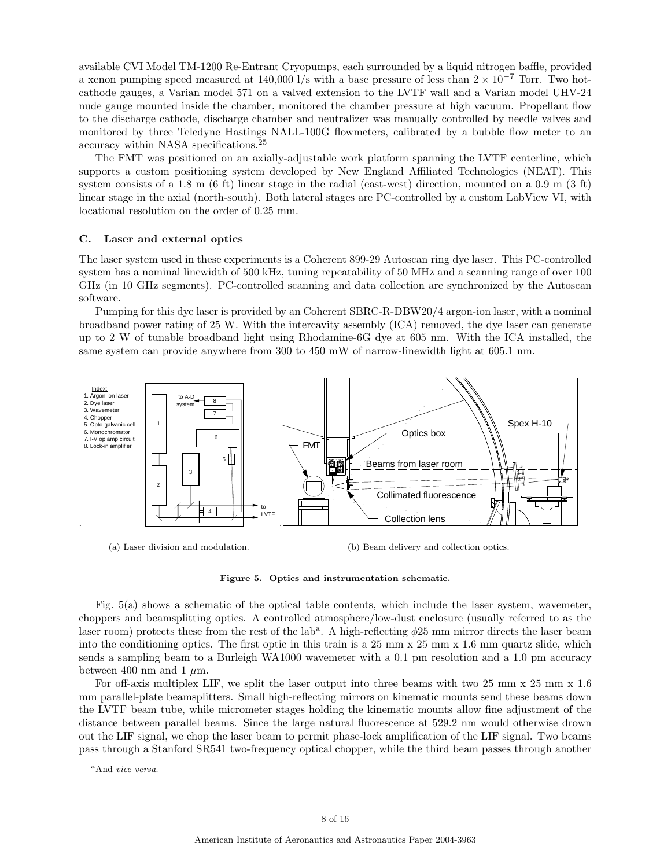available CVI Model TM-1200 Re-Entrant Cryopumps, each surrounded by a liquid nitrogen baffle, provided a xenon pumping speed measured at 140,000 l/s with a base pressure of less than  $2 \times 10^{-7}$  Torr. Two hotcathode gauges, a Varian model 571 on a valved extension to the LVTF wall and a Varian model UHV-24 nude gauge mounted inside the chamber, monitored the chamber pressure at high vacuum. Propellant flow to the discharge cathode, discharge chamber and neutralizer was manually controlled by needle valves and monitored by three Teledyne Hastings NALL-100G flowmeters, calibrated by a bubble flow meter to an accuracy within NASA specifications.<sup>25</sup>

The FMT was positioned on an axially-adjustable work platform spanning the LVTF centerline, which supports a custom positioning system developed by New England Affiliated Technologies (NEAT). This system consists of a 1.8 m (6 ft) linear stage in the radial (east-west) direction, mounted on a 0.9 m (3 ft) linear stage in the axial (north-south). Both lateral stages are PC-controlled by a custom LabView VI, with locational resolution on the order of 0.25 mm.

#### C. Laser and external optics

The laser system used in these experiments is a Coherent 899-29 Autoscan ring dye laser. This PC-controlled system has a nominal linewidth of 500 kHz, tuning repeatability of 50 MHz and a scanning range of over 100 GHz (in 10 GHz segments). PC-controlled scanning and data collection are synchronized by the Autoscan software.

Pumping for this dye laser is provided by an Coherent SBRC-R-DBW20/4 argon-ion laser, with a nominal broadband power rating of 25 W. With the intercavity assembly (ICA) removed, the dye laser can generate up to 2 W of tunable broadband light using Rhodamine-6G dye at 605 nm. With the ICA installed, the same system can provide anywhere from 300 to 450 mW of narrow-linewidth light at 605.1 nm.



(a) Laser division and modulation.

(b) Beam delivery and collection optics.

#### Figure 5. Optics and instrumentation schematic.

Fig. 5(a) shows a schematic of the optical table contents, which include the laser system, wavemeter, choppers and beamsplitting optics. A controlled atmosphere/low-dust enclosure (usually referred to as the laser room) protects these from the rest of the lab<sup>a</sup>. A high-reflecting  $\phi$ 25 mm mirror directs the laser beam into the conditioning optics. The first optic in this train is a  $25 \text{ mm} \times 25 \text{ mm} \times 1.6 \text{ mm}$  quartz slide, which sends a sampling beam to a Burleigh WA1000 wavemeter with a 0.1 pm resolution and a 1.0 pm accuracy between 400 nm and 1  $\mu$ m.

For off-axis multiplex LIF, we split the laser output into three beams with two 25 mm x 25 mm x 1.6 mm parallel-plate beamsplitters. Small high-reflecting mirrors on kinematic mounts send these beams down the LVTF beam tube, while micrometer stages holding the kinematic mounts allow fine adjustment of the distance between parallel beams. Since the large natural fluorescence at 529.2 nm would otherwise drown out the LIF signal, we chop the laser beam to permit phase-lock amplification of the LIF signal. Two beams pass through a Stanford SR541 two-frequency optical chopper, while the third beam passes through another

<sup>&</sup>lt;sup>a</sup>And vice versa.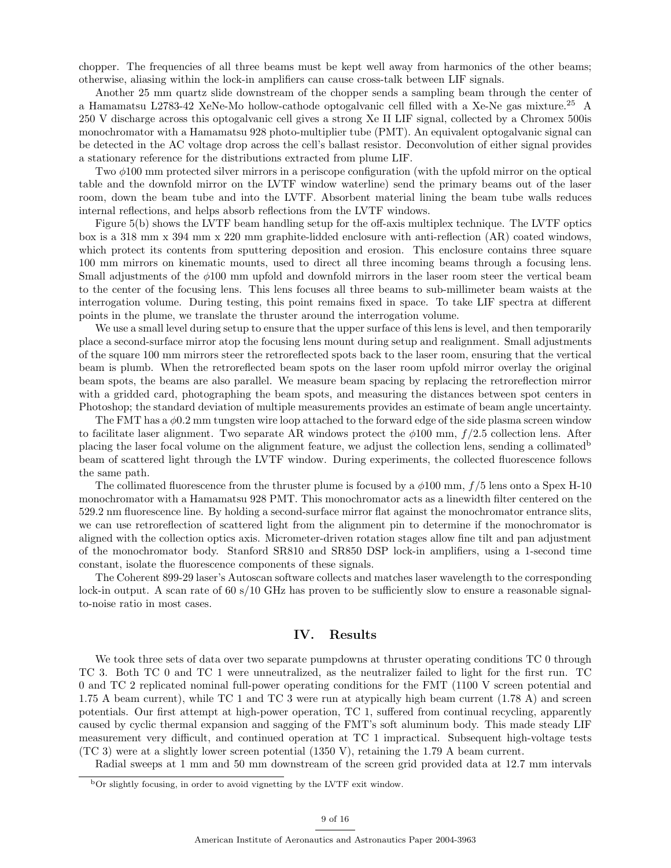chopper. The frequencies of all three beams must be kept well away from harmonics of the other beams; otherwise, aliasing within the lock-in amplifiers can cause cross-talk between LIF signals.

Another 25 mm quartz slide downstream of the chopper sends a sampling beam through the center of a Hamamatsu L2783-42 XeNe-Mo hollow-cathode optogalvanic cell filled with a Xe-Ne gas mixture.<sup>25</sup> A 250 V discharge across this optogalvanic cell gives a strong Xe II LIF signal, collected by a Chromex 500is monochromator with a Hamamatsu 928 photo-multiplier tube (PMT). An equivalent optogalvanic signal can be detected in the AC voltage drop across the cell's ballast resistor. Deconvolution of either signal provides a stationary reference for the distributions extracted from plume LIF.

Two φ100 mm protected silver mirrors in a periscope configuration (with the upfold mirror on the optical table and the downfold mirror on the LVTF window waterline) send the primary beams out of the laser room, down the beam tube and into the LVTF. Absorbent material lining the beam tube walls reduces internal reflections, and helps absorb reflections from the LVTF windows.

Figure 5(b) shows the LVTF beam handling setup for the off-axis multiplex technique. The LVTF optics box is a 318 mm x 394 mm x 220 mm graphite-lidded enclosure with anti-reflection (AR) coated windows, which protect its contents from sputtering deposition and erosion. This enclosure contains three square 100 mm mirrors on kinematic mounts, used to direct all three incoming beams through a focusing lens. Small adjustments of the  $\phi$ 100 mm upfold and downfold mirrors in the laser room steer the vertical beam to the center of the focusing lens. This lens focuses all three beams to sub-millimeter beam waists at the interrogation volume. During testing, this point remains fixed in space. To take LIF spectra at different points in the plume, we translate the thruster around the interrogation volume.

We use a small level during setup to ensure that the upper surface of this lens is level, and then temporarily place a second-surface mirror atop the focusing lens mount during setup and realignment. Small adjustments of the square 100 mm mirrors steer the retroreflected spots back to the laser room, ensuring that the vertical beam is plumb. When the retroreflected beam spots on the laser room upfold mirror overlay the original beam spots, the beams are also parallel. We measure beam spacing by replacing the retroreflection mirror with a gridded card, photographing the beam spots, and measuring the distances between spot centers in Photoshop; the standard deviation of multiple measurements provides an estimate of beam angle uncertainty.

The FMT has a  $\phi$ 0.2 mm tungsten wire loop attached to the forward edge of the side plasma screen window to facilitate laser alignment. Two separate AR windows protect the  $\phi$ 100 mm,  $f/2.5$  collection lens. After placing the laser focal volume on the alignment feature, we adjust the collection lens, sending a collimated<sup>b</sup> beam of scattered light through the LVTF window. During experiments, the collected fluorescence follows the same path.

The collimated fluorescence from the thruster plume is focused by a  $\phi$ 100 mm, f/5 lens onto a Spex H-10 monochromator with a Hamamatsu 928 PMT. This monochromator acts as a linewidth filter centered on the 529.2 nm fluorescence line. By holding a second-surface mirror flat against the monochromator entrance slits, we can use retroreflection of scattered light from the alignment pin to determine if the monochromator is aligned with the collection optics axis. Micrometer-driven rotation stages allow fine tilt and pan adjustment of the monochromator body. Stanford SR810 and SR850 DSP lock-in amplifiers, using a 1-second time constant, isolate the fluorescence components of these signals.

The Coherent 899-29 laser's Autoscan software collects and matches laser wavelength to the corresponding lock-in output. A scan rate of 60 s/10 GHz has proven to be sufficiently slow to ensure a reasonable signalto-noise ratio in most cases.

## IV. Results

We took three sets of data over two separate pumpdowns at thruster operating conditions TC 0 through TC 3. Both TC 0 and TC 1 were unneutralized, as the neutralizer failed to light for the first run. TC 0 and TC 2 replicated nominal full-power operating conditions for the FMT (1100 V screen potential and 1.75 A beam current), while TC 1 and TC 3 were run at atypically high beam current (1.78 A) and screen potentials. Our first attempt at high-power operation, TC 1, suffered from continual recycling, apparently caused by cyclic thermal expansion and sagging of the FMT's soft aluminum body. This made steady LIF measurement very difficult, and continued operation at TC 1 impractical. Subsequent high-voltage tests (TC 3) were at a slightly lower screen potential (1350 V), retaining the 1.79 A beam current.

Radial sweeps at 1 mm and 50 mm downstream of the screen grid provided data at 12.7 mm intervals

<sup>b</sup>Or slightly focusing, in order to avoid vignetting by the LVTF exit window.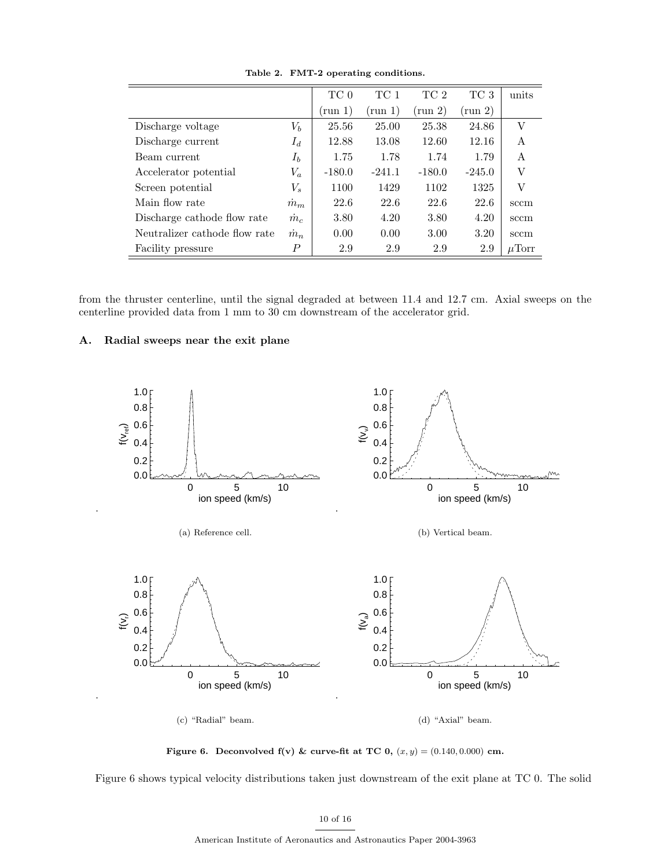|                               |                  | TC 0       | TC 1     | TC 2             | TC 3       | units      |
|-------------------------------|------------------|------------|----------|------------------|------------|------------|
|                               |                  | $\pmod{1}$ | (run 1   | $\text{run } 2)$ | $\pmod{2}$ |            |
| Discharge voltage             | $V_b$            | 25.56      | 25.00    | 25.38            | 24.86      | V          |
| Discharge current             | $I_d$            | 12.88      | 13.08    | 12.60            | 12.16      | A          |
| Beam current                  | $I_b$            | 1.75       | 1.78     | 1.74             | 1.79       | A          |
| Accelerator potential         | $V_a$            | $-180.0$   | $-241.1$ | $-180.0$         | $-245.0$   | V          |
| Screen potential              | $V_s$            | 1100       | 1429     | 1102             | 1325       | V          |
| Main flow rate                | $m_m$            | 22.6       | 22.6     | 22.6             | 22.6       | sccm       |
| Discharge cathode flow rate   | $\dot{m}_c$      | 3.80       | 4.20     | 3.80             | 4.20       | sccm       |
| Neutralizer cathode flow rate | $\dot{m}_n$      | 0.00       | 0.00     | 3.00             | 3.20       | sccm       |
| Facility pressure             | $\boldsymbol{P}$ | 2.9        | 2.9      | 2.9              | 2.9        | $\mu$ Torr |

Table 2. FMT-2 operating conditions.

from the thruster centerline, until the signal degraded at between 11.4 and 12.7 cm. Axial sweeps on the centerline provided data from 1 mm to 30 cm downstream of the accelerator grid.

## A. Radial sweeps near the exit plane



Figure 6. Deconvolved  $f(v)$  & curve-fit at TC 0,  $(x, y) = (0.140, 0.000)$  cm.

Figure 6 shows typical velocity distributions taken just downstream of the exit plane at TC 0. The solid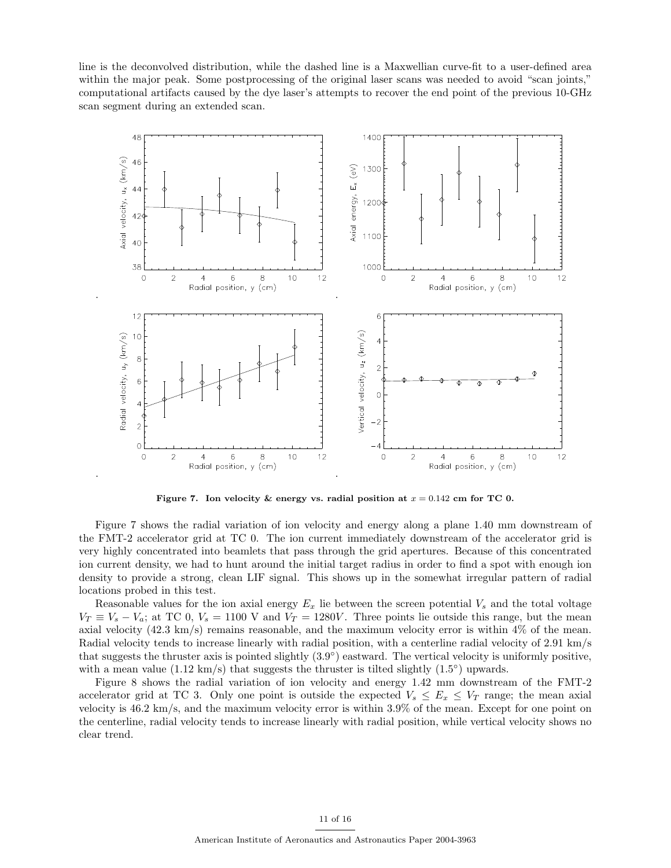line is the deconvolved distribution, while the dashed line is a Maxwellian curve-fit to a user-defined area within the major peak. Some postprocessing of the original laser scans was needed to avoid "scan joints," computational artifacts caused by the dye laser's attempts to recover the end point of the previous 10-GHz scan segment during an extended scan.



Figure 7. Ion velocity & energy vs. radial position at  $x = 0.142$  cm for TC 0.

Figure 7 shows the radial variation of ion velocity and energy along a plane 1.40 mm downstream of the FMT-2 accelerator grid at TC 0. The ion current immediately downstream of the accelerator grid is very highly concentrated into beamlets that pass through the grid apertures. Because of this concentrated ion current density, we had to hunt around the initial target radius in order to find a spot with enough ion density to provide a strong, clean LIF signal. This shows up in the somewhat irregular pattern of radial locations probed in this test.

Reasonable values for the ion axial energy  $E_x$  lie between the screen potential  $V_s$  and the total voltage  $V_T \equiv V_s - V_a$ ; at TC 0,  $V_s = 1100$  V and  $V_T = 1280V$ . Three points lie outside this range, but the mean axial velocity (42.3 km/s) remains reasonable, and the maximum velocity error is within 4% of the mean. Radial velocity tends to increase linearly with radial position, with a centerline radial velocity of 2.91 km/s that suggests the thruster axis is pointed slightly  $(3.9^{\circ})$  eastward. The vertical velocity is uniformly positive, with a mean value  $(1.12 \text{ km/s})$  that suggests the thruster is tilted slightly  $(1.5^{\circ})$  upwards.

Figure 8 shows the radial variation of ion velocity and energy 1.42 mm downstream of the FMT-2 accelerator grid at TC 3. Only one point is outside the expected  $V_s \leq E_x \leq V_T$  range; the mean axial velocity is 46.2 km/s, and the maximum velocity error is within 3.9% of the mean. Except for one point on the centerline, radial velocity tends to increase linearly with radial position, while vertical velocity shows no clear trend.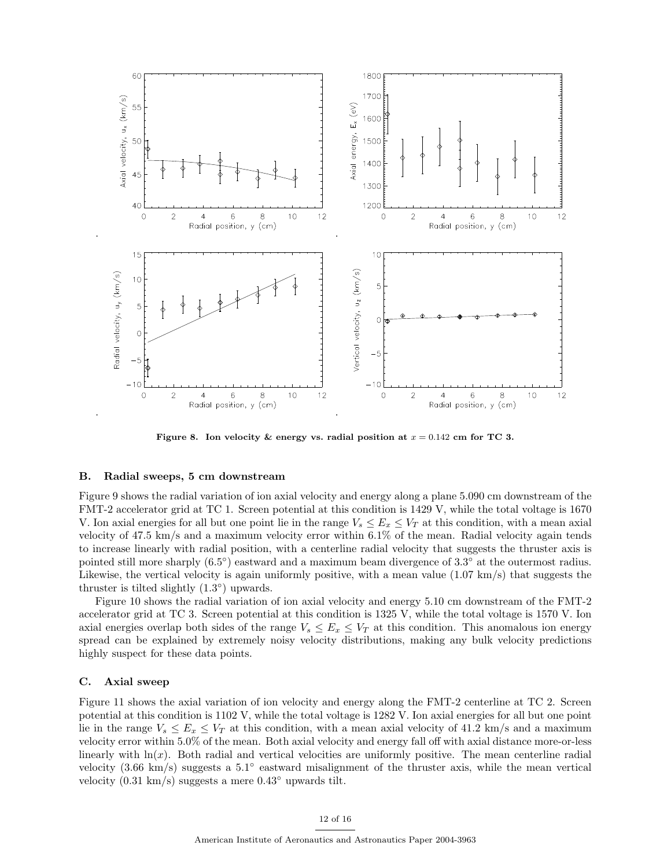

Figure 8. Ion velocity & energy vs. radial position at  $x = 0.142$  cm for TC 3.

#### B. Radial sweeps, 5 cm downstream

Figure 9 shows the radial variation of ion axial velocity and energy along a plane 5.090 cm downstream of the FMT-2 accelerator grid at TC 1. Screen potential at this condition is 1429 V, while the total voltage is 1670 V. Ion axial energies for all but one point lie in the range  $V_s \le E_x \le V_T$  at this condition, with a mean axial velocity of 47.5 km/s and a maximum velocity error within 6.1% of the mean. Radial velocity again tends to increase linearly with radial position, with a centerline radial velocity that suggests the thruster axis is pointed still more sharply  $(6.5^{\circ})$  eastward and a maximum beam divergence of 3.3<sup>°</sup> at the outermost radius. Likewise, the vertical velocity is again uniformly positive, with a mean value  $(1.07 \text{ km/s})$  that suggests the thruster is tilted slightly  $(1.3^{\circ})$  upwards.

Figure 10 shows the radial variation of ion axial velocity and energy 5.10 cm downstream of the FMT-2 accelerator grid at TC 3. Screen potential at this condition is 1325 V, while the total voltage is 1570 V. Ion axial energies overlap both sides of the range  $V_s \leq E_x \leq V_T$  at this condition. This anomalous ion energy spread can be explained by extremely noisy velocity distributions, making any bulk velocity predictions highly suspect for these data points.

#### C. Axial sweep

Figure 11 shows the axial variation of ion velocity and energy along the FMT-2 centerline at TC 2. Screen potential at this condition is 1102 V, while the total voltage is 1282 V. Ion axial energies for all but one point lie in the range  $V_s \le E_x \le V_T$  at this condition, with a mean axial velocity of 41.2 km/s and a maximum velocity error within 5.0% of the mean. Both axial velocity and energy fall off with axial distance more-or-less linearly with  $\ln(x)$ . Both radial and vertical velocities are uniformly positive. The mean centerline radial velocity  $(3.66 \text{ km/s})$  suggests a  $5.1^{\circ}$  eastward misalignment of the thruster axis, while the mean vertical velocity  $(0.31 \text{ km/s})$  suggests a mere  $0.43^\circ$  upwards tilt.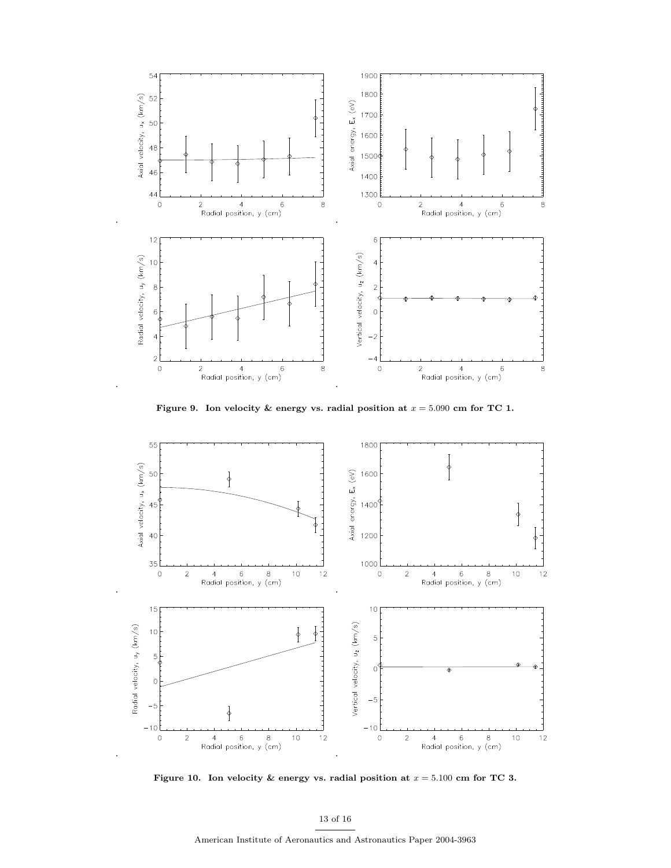

Figure 9. Ion velocity & energy vs. radial position at  $x = 5.090$  cm for TC 1.



Figure 10. Ion velocity & energy vs. radial position at  $x = 5.100$  cm for TC 3.

13 of 16

American Institute of Aeronautics and Astronautics Paper 2004-3963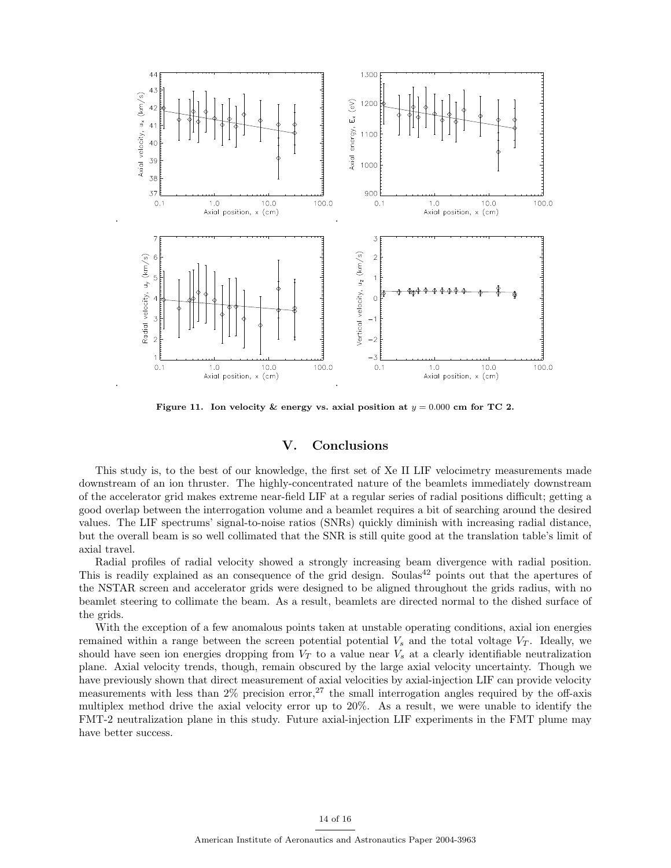

Figure 11. Ion velocity & energy vs. axial position at  $y = 0.000$  cm for TC 2.

# V. Conclusions

This study is, to the best of our knowledge, the first set of Xe II LIF velocimetry measurements made downstream of an ion thruster. The highly-concentrated nature of the beamlets immediately downstream of the accelerator grid makes extreme near-field LIF at a regular series of radial positions difficult; getting a good overlap between the interrogation volume and a beamlet requires a bit of searching around the desired values. The LIF spectrums' signal-to-noise ratios (SNRs) quickly diminish with increasing radial distance, but the overall beam is so well collimated that the SNR is still quite good at the translation table's limit of axial travel.

Radial profiles of radial velocity showed a strongly increasing beam divergence with radial position. This is readily explained as an consequence of the grid design. Soulas<sup>42</sup> points out that the apertures of the NSTAR screen and accelerator grids were designed to be aligned throughout the grids radius, with no beamlet steering to collimate the beam. As a result, beamlets are directed normal to the dished surface of the grids.

With the exception of a few anomalous points taken at unstable operating conditions, axial ion energies remained within a range between the screen potential potential  $V_s$  and the total voltage  $V_T$ . Ideally, we should have seen ion energies dropping from  $V_T$  to a value near  $V_s$  at a clearly identifiable neutralization plane. Axial velocity trends, though, remain obscured by the large axial velocity uncertainty. Though we have previously shown that direct measurement of axial velocities by axial-injection LIF can provide velocity measurements with less than  $2\%$  precision error,<sup>27</sup> the small interrogation angles required by the off-axis multiplex method drive the axial velocity error up to 20%. As a result, we were unable to identify the FMT-2 neutralization plane in this study. Future axial-injection LIF experiments in the FMT plume may have better success.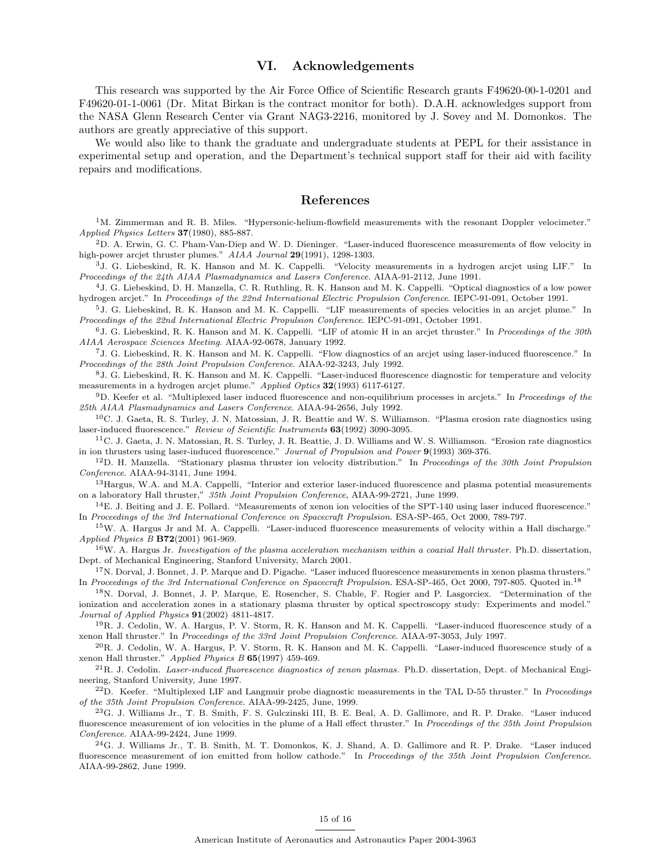# VI. Acknowledgements

This research was supported by the Air Force Office of Scientific Research grants F49620-00-1-0201 and F49620-01-1-0061 (Dr. Mitat Birkan is the contract monitor for both). D.A.H. acknowledges support from the NASA Glenn Research Center via Grant NAG3-2216, monitored by J. Sovey and M. Domonkos. The authors are greatly appreciative of this support.

We would also like to thank the graduate and undergraduate students at PEPL for their assistance in experimental setup and operation, and the Department's technical support staff for their aid with facility repairs and modifications.

# References

 $1^{\text{M}}$ . Zimmerman and R. B. Miles. "Hypersonic-helium-flowfield measurements with the resonant Doppler velocimeter." Applied Physics Letters 37(1980), 885-887.

 $2D$ . A. Erwin, G. C. Pham-Van-Diep and W. D. Dieninger. "Laser-induced fluorescence measurements of flow velocity in high-power arcjet thruster plumes." AIAA Journal 29(1991), 1298-1303.

<sup>3</sup>J. G. Liebeskind, R. K. Hanson and M. K. Cappelli. "Velocity measurements in a hydrogen arcjet using LIF." In Proceedings of the 24th AIAA Plasmadynamics and Lasers Conference. AIAA-91-2112, June 1991.

<sup>4</sup>J. G. Liebeskind, D. H. Manzella, C. R. Ruthling, R. K. Hanson and M. K. Cappelli. "Optical diagnostics of a low power hydrogen arcjet." In Proceedings of the 22nd International Electric Propulsion Conference. IEPC-91-091, October 1991.

<sup>5</sup>J. G. Liebeskind, R. K. Hanson and M. K. Cappelli. "LIF measurements of species velocities in an arcjet plume." In Proceedings of the 22nd International Electric Propulsion Conference. IEPC-91-091, October 1991.

 $6J$ . G. Liebeskind, R. K. Hanson and M. K. Cappelli. "LIF of atomic H in an arcjet thruster." In Proceedings of the 30th AIAA Aerospace Sciences Meeting. AIAA-92-0678, January 1992.

<sup>7</sup>J. G. Liebeskind, R. K. Hanson and M. K. Cappelli. "Flow diagnostics of an arcjet using laser-induced fluorescence." In Proceedings of the 28th Joint Propulsion Conference. AIAA-92-3243, July 1992.

<sup>8</sup>J. G. Liebeskind, R. K. Hanson and M. K. Cappelli. "Laser-induced fluorescence diagnostic for temperature and velocity measurements in a hydrogen arcjet plume." Applied Optics 32(1993) 6117-6127.

 $9D.$  Keefer et al. "Multiplexed laser induced fluorescence and non-equilibrium processes in arcjets." In Proceedings of the 25th AIAA Plasmadynamics and Lasers Conference. AIAA-94-2656, July 1992.

 $10C$ . J. Gaeta, R. S. Turley, J. N. Matossian, J. R. Beattie and W. S. Williamson. "Plasma erosion rate diagnostics using laser-induced fluorescence." Review of Scientific Instruments 63(1992) 3090-3095.

 $11$ C. J. Gaeta, J. N. Matossian, R. S. Turley, J. R. Beattie, J. D. Williams and W. S. Williamson. "Erosion rate diagnostics in ion thrusters using laser-induced fluorescence." Journal of Propulsion and Power 9(1993) 369-376.

 $12D$ . H. Manzella. "Stationary plasma thruster ion velocity distribution." In Proceedings of the 30th Joint Propulsion Conference. AIAA-94-3141, June 1994.

<sup>13</sup> Hargus, W.A. and M.A. Cappelli, "Interior and exterior laser-induced fluorescence and plasma potential measurements on a laboratory Hall thruster," 35th Joint Propulsion Conference, AIAA-99-2721, June 1999.

 $14E$ . J. Beiting and J. E. Pollard. "Measurements of xenon ion velocities of the SPT-140 using laser induced fluorescence." In Proceedings of the 3rd International Conference on Spacecraft Propulsion. ESA-SP-465, Oct 2000, 789-797.

<sup>15</sup>W. A. Hargus Jr and M. A. Cappelli. "Laser-induced fluorescence measurements of velocity within a Hall discharge." Applied Physics B B72(2001) 961-969.

 $16$ W. A. Hargus Jr. Investigation of the plasma acceleration mechanism within a coaxial Hall thruster. Ph.D. dissertation, Dept. of Mechanical Engineering, Stanford University, March 2001.

<sup>17</sup>N. Dorval, J. Bonnet, J. P. Marque and D. Pigache. "Laser induced fluorescence measurements in xenon plasma thrusters." In Proceedings of the 3rd International Conference on Spacecraft Propulsion. ESA-SP-465, Oct 2000, 797-805. Quoted in.<sup>18</sup>

<sup>18</sup>N. Dorval, J. Bonnet, J. P. Marque, E. Rosencher, S. Chable, F. Rogier and P. Lasgorciex. "Determination of the ionization and acceleration zones in a stationary plasma thruster by optical spectroscopy study: Experiments and model." Journal of Applied Physics 91(2002) 4811-4817.

<sup>19</sup>R. J. Cedolin, W. A. Hargus, P. V. Storm, R. K. Hanson and M. K. Cappelli. "Laser-induced fluorescence study of a xenon Hall thruster." In Proceedings of the 33rd Joint Propulsion Conference. AIAA-97-3053, July 1997.

 $^{20}R$ . J. Cedolin, W. A. Hargus, P. V. Storm, R. K. Hanson and M. K. Cappelli. "Laser-induced fluorescence study of a xenon Hall thruster." Applied Physics B 65(1997) 459-469.

 $^{21}$ R. J. Cedolin. Laser-induced fluorescence diagnostics of xenon plasmas. Ph.D. dissertation, Dept. of Mechanical Engineering, Stanford University, June 1997.

 $^{22}$ D. Keefer. "Multiplexed LIF and Langmuir probe diagnostic measurements in the TAL D-55 thruster." In *Proceedings* of the 35th Joint Propulsion Conference. AIAA-99-2425, June, 1999.

<sup>23</sup>G. J. Williams Jr., T. B. Smith, F. S. Gulczinski III, B. E. Beal, A. D. Gallimore, and R. P. Drake. "Laser induced fluorescence measurement of ion velocities in the plume of a Hall effect thruster." In Proceedings of the 35th Joint Propulsion Conference. AIAA-99-2424, June 1999.

<sup>24</sup>G. J. Williams Jr., T. B. Smith, M. T. Domonkos, K. J. Shand, A. D. Gallimore and R. P. Drake. "Laser induced fluorescence measurement of ion emitted from hollow cathode." In Proceedings of the 35th Joint Propulsion Conference. AIAA-99-2862, June 1999.